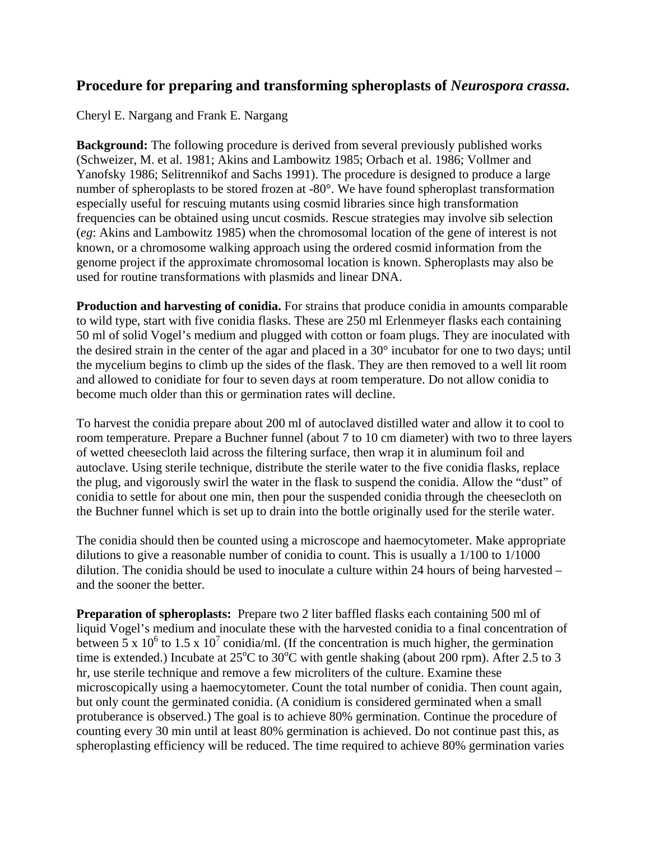# **Procedure for preparing and transforming spheroplasts of** *Neurospora crassa***.**

Cheryl E. Nargang and Frank E. Nargang

**Background:** The following procedure is derived from several previously published works (Schweizer, M. et al. 1981; Akins and Lambowitz 1985; Orbach et al. 1986; Vollmer and Yanofsky 1986; Selitrennikof and Sachs 1991). The procedure is designed to produce a large number of spheroplasts to be stored frozen at -80°. We have found spheroplast transformation especially useful for rescuing mutants using cosmid libraries since high transformation frequencies can be obtained using uncut cosmids. Rescue strategies may involve sib selection (*eg*: Akins and Lambowitz 1985) when the chromosomal location of the gene of interest is not known, or a chromosome walking approach using the ordered cosmid information from the genome project if the approximate chromosomal location is known. Spheroplasts may also be used for routine transformations with plasmids and linear DNA.

**Production and harvesting of conidia.** For strains that produce conidia in amounts comparable to wild type, start with five conidia flasks. These are 250 ml Erlenmeyer flasks each containing 50 ml of solid Vogel's medium and plugged with cotton or foam plugs. They are inoculated with the desired strain in the center of the agar and placed in a 30° incubator for one to two days; until the mycelium begins to climb up the sides of the flask. They are then removed to a well lit room and allowed to conidiate for four to seven days at room temperature. Do not allow conidia to become much older than this or germination rates will decline.

To harvest the conidia prepare about 200 ml of autoclaved distilled water and allow it to cool to room temperature. Prepare a Buchner funnel (about 7 to 10 cm diameter) with two to three layers of wetted cheesecloth laid across the filtering surface, then wrap it in aluminum foil and autoclave. Using sterile technique, distribute the sterile water to the five conidia flasks, replace the plug, and vigorously swirl the water in the flask to suspend the conidia. Allow the "dust" of conidia to settle for about one min, then pour the suspended conidia through the cheesecloth on the Buchner funnel which is set up to drain into the bottle originally used for the sterile water.

The conidia should then be counted using a microscope and haemocytometer. Make appropriate dilutions to give a reasonable number of conidia to count. This is usually a 1/100 to 1/1000 dilution. The conidia should be used to inoculate a culture within 24 hours of being harvested – and the sooner the better.

**Preparation of spheroplasts:** Prepare two 2 liter baffled flasks each containing 500 ml of liquid Vogel's medium and inoculate these with the harvested conidia to a final concentration of between 5 x 10<sup>6</sup> to 1.5 x 10<sup>7</sup> conidia/ml. (If the concentration is much higher, the germination time is extended.) Incubate at  $25^{\circ}$ C to  $30^{\circ}$ C with gentle shaking (about 200 rpm). After 2.5 to 3 hr, use sterile technique and remove a few microliters of the culture. Examine these microscopically using a haemocytometer. Count the total number of conidia. Then count again, but only count the germinated conidia. (A conidium is considered germinated when a small protuberance is observed.) The goal is to achieve 80% germination. Continue the procedure of counting every 30 min until at least 80% germination is achieved. Do not continue past this, as spheroplasting efficiency will be reduced. The time required to achieve 80% germination varies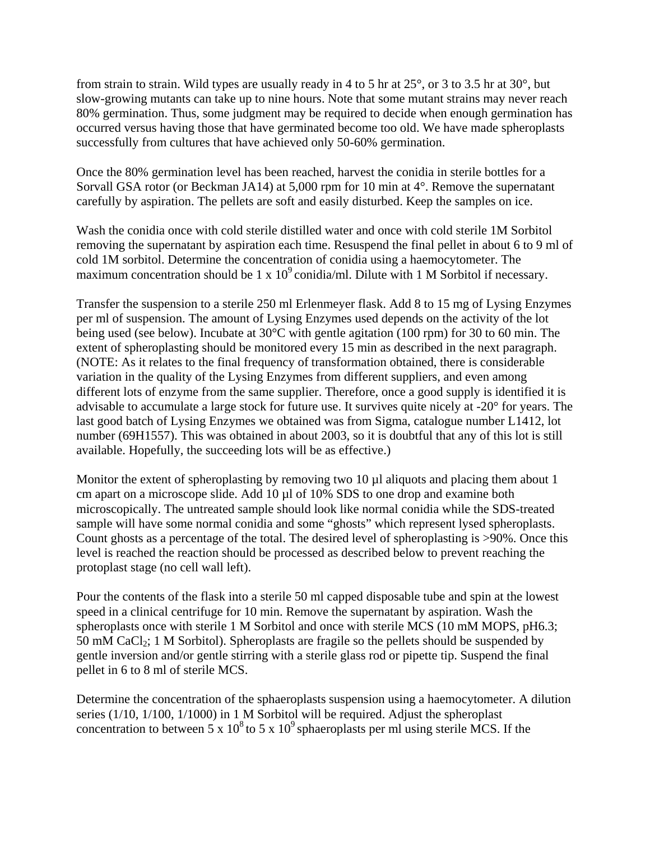from strain to strain. Wild types are usually ready in 4 to 5 hr at 25°, or 3 to 3.5 hr at 30°, but slow-growing mutants can take up to nine hours. Note that some mutant strains may never reach 80% germination. Thus, some judgment may be required to decide when enough germination has occurred versus having those that have germinated become too old. We have made spheroplasts successfully from cultures that have achieved only 50-60% germination.

Once the 80% germination level has been reached, harvest the conidia in sterile bottles for a Sorvall GSA rotor (or Beckman JA14) at 5,000 rpm for 10 min at 4°. Remove the supernatant carefully by aspiration. The pellets are soft and easily disturbed. Keep the samples on ice.

Wash the conidia once with cold sterile distilled water and once with cold sterile 1M Sorbitol removing the supernatant by aspiration each time. Resuspend the final pellet in about 6 to 9 ml of cold 1M sorbitol. Determine the concentration of conidia using a haemocytometer. The maximum concentration should be 1 x  $10^9$  conidia/ml. Dilute with 1 M Sorbitol if necessary.

Transfer the suspension to a sterile 250 ml Erlenmeyer flask. Add 8 to 15 mg of Lysing Enzymes per ml of suspension. The amount of Lysing Enzymes used depends on the activity of the lot being used (see below). Incubate at 30°C with gentle agitation (100 rpm) for 30 to 60 min. The extent of spheroplasting should be monitored every 15 min as described in the next paragraph. (NOTE: As it relates to the final frequency of transformation obtained, there is considerable variation in the quality of the Lysing Enzymes from different suppliers, and even among different lots of enzyme from the same supplier. Therefore, once a good supply is identified it is advisable to accumulate a large stock for future use. It survives quite nicely at -20° for years. The last good batch of Lysing Enzymes we obtained was from Sigma, catalogue number L1412, lot number (69H1557). This was obtained in about 2003, so it is doubtful that any of this lot is still available. Hopefully, the succeeding lots will be as effective.)

Monitor the extent of spheroplasting by removing two 10 µl aliquots and placing them about 1 cm apart on a microscope slide. Add 10 µl of 10% SDS to one drop and examine both microscopically. The untreated sample should look like normal conidia while the SDS-treated sample will have some normal conidia and some "ghosts" which represent lysed spheroplasts. Count ghosts as a percentage of the total. The desired level of spheroplasting is >90%. Once this level is reached the reaction should be processed as described below to prevent reaching the protoplast stage (no cell wall left).

Pour the contents of the flask into a sterile 50 ml capped disposable tube and spin at the lowest speed in a clinical centrifuge for 10 min. Remove the supernatant by aspiration. Wash the spheroplasts once with sterile 1 M Sorbitol and once with sterile MCS (10 mM MOPS, pH6.3; 50 mM CaCl<sub>2</sub>; 1 M Sorbitol). Spheroplasts are fragile so the pellets should be suspended by gentle inversion and/or gentle stirring with a sterile glass rod or pipette tip. Suspend the final pellet in 6 to 8 ml of sterile MCS.

Determine the concentration of the sphaeroplasts suspension using a haemocytometer. A dilution series (1/10, 1/100, 1/1000) in 1 M Sorbitol will be required. Adjust the spheroplast concentration to between 5 x  $10^8$  to 5 x  $10^9$  sphaeroplasts per ml using sterile MCS. If the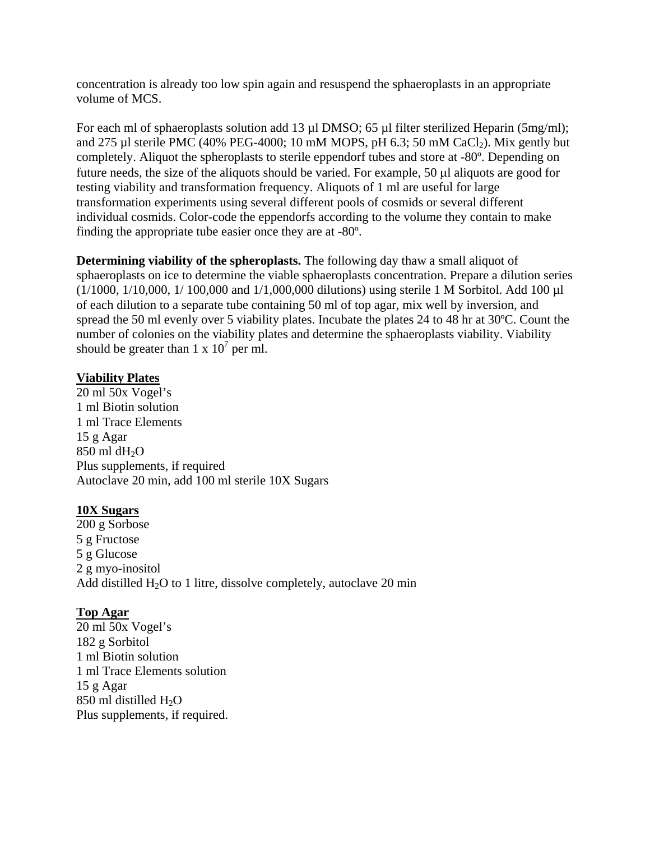concentration is already too low spin again and resuspend the sphaeroplasts in an appropriate volume of MCS.

For each ml of sphaeroplasts solution add 13 µl DMSO; 65 µl filter sterilized Heparin (5mg/ml); and 275 µl sterile PMC (40% PEG-4000; 10 mM MOPS, pH 6.3; 50 mM CaCl<sub>2</sub>). Mix gently but completely. Aliquot the spheroplasts to sterile eppendorf tubes and store at -80º. Depending on future needs, the size of the aliquots should be varied. For example, 50 µl aliquots are good for testing viability and transformation frequency. Aliquots of 1 ml are useful for large transformation experiments using several different pools of cosmids or several different individual cosmids. Color-code the eppendorfs according to the volume they contain to make finding the appropriate tube easier once they are at -80º.

**Determining viability of the spheroplasts.** The following day thaw a small aliquot of sphaeroplasts on ice to determine the viable sphaeroplasts concentration. Prepare a dilution series (1/1000, 1/10,000, 1/ 100,000 and 1/1,000,000 dilutions) using sterile 1 M Sorbitol. Add 100 µl of each dilution to a separate tube containing 50 ml of top agar, mix well by inversion, and spread the 50 ml evenly over 5 viability plates. Incubate the plates 24 to 48 hr at 30ºC. Count the number of colonies on the viability plates and determine the sphaeroplasts viability. Viability should be greater than  $1 \times 10^7$  per ml.

### **Viability Plates**

20 ml 50x Vogel's 1 ml Biotin solution 1 ml Trace Elements 15 g Agar 850 ml dH<sub>2</sub>O Plus supplements, if required Autoclave 20 min, add 100 ml sterile 10X Sugars

#### **10X Sugars**

200 g Sorbose 5 g Fructose 5 g Glucose 2 g myo-inositol Add distilled  $H_2O$  to 1 litre, dissolve completely, autoclave 20 min

## **Top Agar**

20 ml 50x Vogel's 182 g Sorbitol 1 ml Biotin solution 1 ml Trace Elements solution 15 g Agar 850 ml distilled  $H_2O$ Plus supplements, if required.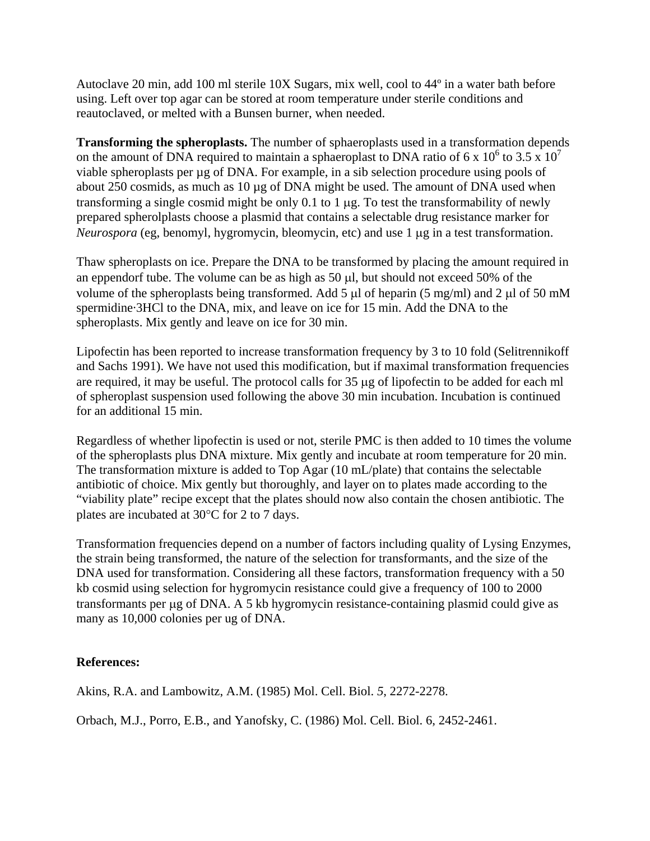Autoclave 20 min, add 100 ml sterile 10X Sugars, mix well, cool to 44º in a water bath before using. Left over top agar can be stored at room temperature under sterile conditions and reautoclaved, or melted with a Bunsen burner, when needed.

**Transforming the spheroplasts.** The number of sphaeroplasts used in a transformation depends on the amount of DNA required to maintain a sphaeroplast to DNA ratio of 6 x  $10^6$  to 3.5 x  $10^7$ viable spheroplasts per  $\mu$ g of DNA. For example, in a sib selection procedure using pools of about 250 cosmids, as much as 10 µg of DNA might be used. The amount of DNA used when transforming a single cosmid might be only 0.1 to 1 µg. To test the transformability of newly prepared spherolplasts choose a plasmid that contains a selectable drug resistance marker for *Neurospora* (eg, benomyl, hygromycin, bleomycin, etc) and use 1 µg in a test transformation.

Thaw spheroplasts on ice. Prepare the DNA to be transformed by placing the amount required in an eppendorf tube. The volume can be as high as  $50 \mu l$ , but should not exceed  $50\%$  of the volume of the spheroplasts being transformed. Add 5  $\mu$ l of heparin (5 mg/ml) and 2  $\mu$ l of 50 mM spermidine·3HCl to the DNA, mix, and leave on ice for 15 min. Add the DNA to the spheroplasts. Mix gently and leave on ice for 30 min.

Lipofectin has been reported to increase transformation frequency by 3 to 10 fold (Selitrennikoff and Sachs 1991). We have not used this modification, but if maximal transformation frequencies are required, it may be useful. The protocol calls for 35 µg of lipofectin to be added for each ml of spheroplast suspension used following the above 30 min incubation. Incubation is continued for an additional 15 min.

Regardless of whether lipofectin is used or not, sterile PMC is then added to 10 times the volume of the spheroplasts plus DNA mixture. Mix gently and incubate at room temperature for 20 min. The transformation mixture is added to Top Agar (10 mL/plate) that contains the selectable antibiotic of choice. Mix gently but thoroughly, and layer on to plates made according to the "viability plate" recipe except that the plates should now also contain the chosen antibiotic. The plates are incubated at 30°C for 2 to 7 days.

Transformation frequencies depend on a number of factors including quality of Lysing Enzymes, the strain being transformed, the nature of the selection for transformants, and the size of the DNA used for transformation. Considering all these factors, transformation frequency with a 50 kb cosmid using selection for hygromycin resistance could give a frequency of 100 to 2000 transformants per µg of DNA. A 5 kb hygromycin resistance-containing plasmid could give as many as 10,000 colonies per ug of DNA.

## **References:**

Akins, R.A. and Lambowitz, A.M. (1985) Mol. Cell. Biol. *5*, 2272-2278.

Orbach, M.J., Porro, E.B., and Yanofsky, C. (1986) Mol. Cell. Biol. 6, 2452-2461.